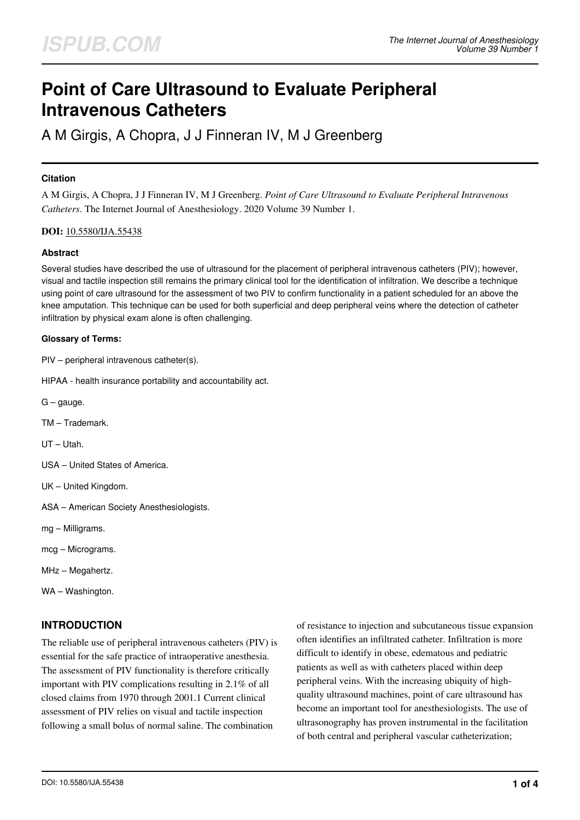# **Point of Care Ultrasound to Evaluate Peripheral Intravenous Catheters**

A M Girgis, A Chopra, J J Finneran IV, M J Greenberg

## **Citation**

A M Girgis, A Chopra, J J Finneran IV, M J Greenberg. *Point of Care Ultrasound to Evaluate Peripheral Intravenous Catheters*. The Internet Journal of Anesthesiology. 2020 Volume 39 Number 1.

## **DOI:** [10.5580/IJA.55438](https://ispub.com/doi/10.5580/IJA.55438)

## **Abstract**

Several studies have described the use of ultrasound for the placement of peripheral intravenous catheters (PIV); however, visual and tactile inspection still remains the primary clinical tool for the identification of infiltration. We describe a technique using point of care ultrasound for the assessment of two PIV to confirm functionality in a patient scheduled for an above the knee amputation. This technique can be used for both superficial and deep peripheral veins where the detection of catheter infiltration by physical exam alone is often challenging.

#### **Glossary of Terms:**

PIV – peripheral intravenous catheter(s).

HIPAA - health insurance portability and accountability act.

- $G -$  gauge.
- TM Trademark.

UT – Utah.

- USA United States of America.
- UK United Kingdom.
- ASA American Society Anesthesiologists.
- mg Milligrams.
- mcg Micrograms.
- MHz Megahertz.
- WA Washington.

# **INTRODUCTION**

The reliable use of peripheral intravenous catheters (PIV) is essential for the safe practice of intraoperative anesthesia. The assessment of PIV functionality is therefore critically important with PIV complications resulting in 2.1% of all closed claims from 1970 through 2001.1 Current clinical assessment of PIV relies on visual and tactile inspection following a small bolus of normal saline. The combination

of resistance to injection and subcutaneous tissue expansion often identifies an infiltrated catheter. Infiltration is more difficult to identify in obese, edematous and pediatric patients as well as with catheters placed within deep peripheral veins. With the increasing ubiquity of highquality ultrasound machines, point of care ultrasound has become an important tool for anesthesiologists. The use of ultrasonography has proven instrumental in the facilitation of both central and peripheral vascular catheterization;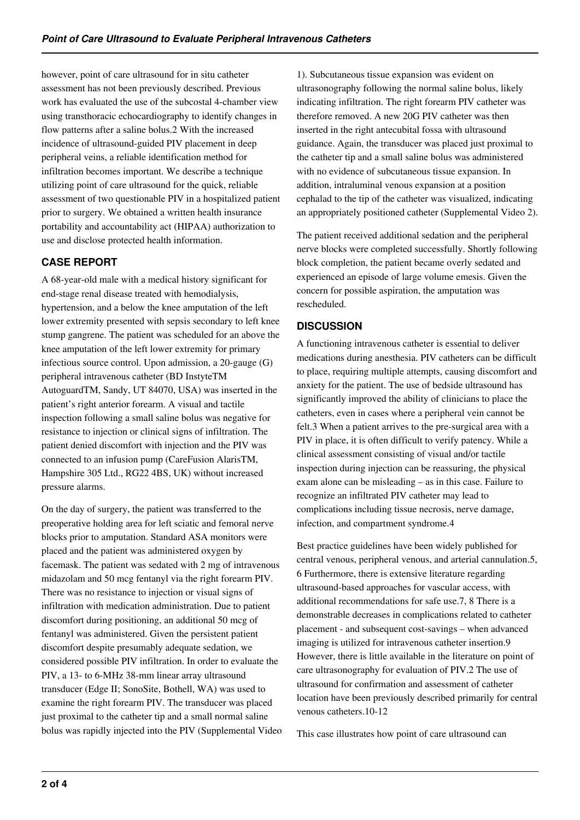however, point of care ultrasound for in situ catheter assessment has not been previously described. Previous work has evaluated the use of the subcostal 4-chamber view using transthoracic echocardiography to identify changes in flow patterns after a saline bolus.2 With the increased incidence of ultrasound-guided PIV placement in deep peripheral veins, a reliable identification method for infiltration becomes important. We describe a technique utilizing point of care ultrasound for the quick, reliable assessment of two questionable PIV in a hospitalized patient prior to surgery. We obtained a written health insurance portability and accountability act (HIPAA) authorization to use and disclose protected health information.

# **CASE REPORT**

A 68-year-old male with a medical history significant for end-stage renal disease treated with hemodialysis, hypertension, and a below the knee amputation of the left lower extremity presented with sepsis secondary to left knee stump gangrene. The patient was scheduled for an above the knee amputation of the left lower extremity for primary infectious source control. Upon admission, a 20-gauge (G) peripheral intravenous catheter (BD InstyteTM AutoguardTM, Sandy, UT 84070, USA) was inserted in the patient's right anterior forearm. A visual and tactile inspection following a small saline bolus was negative for resistance to injection or clinical signs of infiltration. The patient denied discomfort with injection and the PIV was connected to an infusion pump (CareFusion AlarisTM, Hampshire 305 Ltd., RG22 4BS, UK) without increased pressure alarms.

On the day of surgery, the patient was transferred to the preoperative holding area for left sciatic and femoral nerve blocks prior to amputation. Standard ASA monitors were placed and the patient was administered oxygen by facemask. The patient was sedated with 2 mg of intravenous midazolam and 50 mcg fentanyl via the right forearm PIV. There was no resistance to injection or visual signs of infiltration with medication administration. Due to patient discomfort during positioning, an additional 50 mcg of fentanyl was administered. Given the persistent patient discomfort despite presumably adequate sedation, we considered possible PIV infiltration. In order to evaluate the PIV, a 13- to 6-MHz 38-mm linear array ultrasound transducer (Edge II; SonoSite, Bothell, WA) was used to examine the right forearm PIV. The transducer was placed just proximal to the catheter tip and a small normal saline bolus was rapidly injected into the PIV (Supplemental Video

1). Subcutaneous tissue expansion was evident on ultrasonography following the normal saline bolus, likely indicating infiltration. The right forearm PIV catheter was therefore removed. A new 20G PIV catheter was then inserted in the right antecubital fossa with ultrasound guidance. Again, the transducer was placed just proximal to the catheter tip and a small saline bolus was administered with no evidence of subcutaneous tissue expansion. In addition, intraluminal venous expansion at a position cephalad to the tip of the catheter was visualized, indicating an appropriately positioned catheter (Supplemental Video 2).

The patient received additional sedation and the peripheral nerve blocks were completed successfully. Shortly following block completion, the patient became overly sedated and experienced an episode of large volume emesis. Given the concern for possible aspiration, the amputation was rescheduled.

# **DISCUSSION**

A functioning intravenous catheter is essential to deliver medications during anesthesia. PIV catheters can be difficult to place, requiring multiple attempts, causing discomfort and anxiety for the patient. The use of bedside ultrasound has significantly improved the ability of clinicians to place the catheters, even in cases where a peripheral vein cannot be felt.3 When a patient arrives to the pre-surgical area with a PIV in place, it is often difficult to verify patency. While a clinical assessment consisting of visual and/or tactile inspection during injection can be reassuring, the physical exam alone can be misleading – as in this case. Failure to recognize an infiltrated PIV catheter may lead to complications including tissue necrosis, nerve damage, infection, and compartment syndrome.4

Best practice guidelines have been widely published for central venous, peripheral venous, and arterial cannulation.5, 6 Furthermore, there is extensive literature regarding ultrasound-based approaches for vascular access, with additional recommendations for safe use.7, 8 There is a demonstrable decreases in complications related to catheter placement - and subsequent cost-savings – when advanced imaging is utilized for intravenous catheter insertion.9 However, there is little available in the literature on point of care ultrasonography for evaluation of PIV.2 The use of ultrasound for confirmation and assessment of catheter location have been previously described primarily for central venous catheters.10-12

This case illustrates how point of care ultrasound can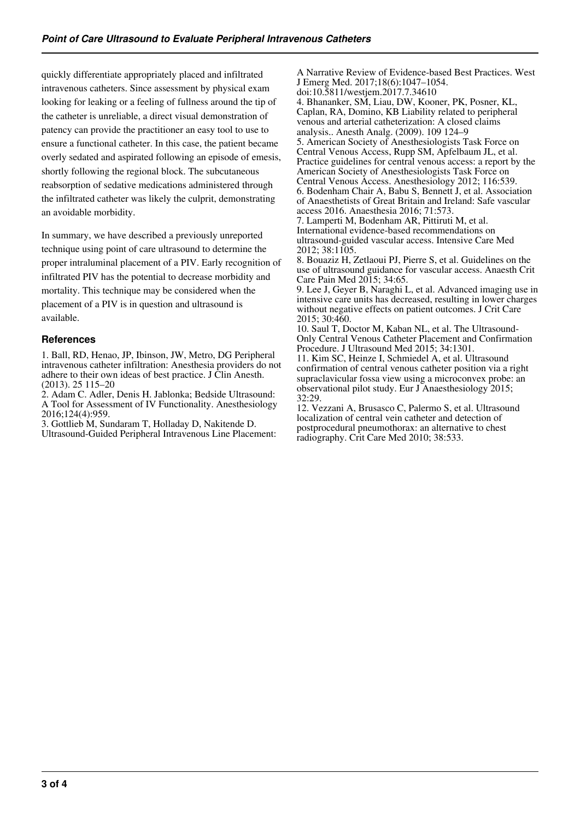quickly differentiate appropriately placed and infiltrated intravenous catheters. Since assessment by physical exam looking for leaking or a feeling of fullness around the tip of the catheter is unreliable, a direct visual demonstration of patency can provide the practitioner an easy tool to use to ensure a functional catheter. In this case, the patient became overly sedated and aspirated following an episode of emesis, shortly following the regional block. The subcutaneous reabsorption of sedative medications administered through the infiltrated catheter was likely the culprit, demonstrating an avoidable morbidity.

In summary, we have described a previously unreported technique using point of care ultrasound to determine the proper intraluminal placement of a PIV. Early recognition of infiltrated PIV has the potential to decrease morbidity and mortality. This technique may be considered when the placement of a PIV is in question and ultrasound is available.

## **References**

1. Ball, RD, Henao, JP, Ibinson, JW, Metro, DG Peripheral intravenous catheter infiltration: Anesthesia providers do not adhere to their own ideas of best practice. J Clin Anesth. (2013). 25 115–20

2. Adam C. Adler, Denis H. Jablonka; Bedside Ultrasound: A Tool for Assessment of IV Functionality. Anesthesiology 2016;124(4):959.

3. Gottlieb M, Sundaram T, Holladay D, Nakitende D. Ultrasound-Guided Peripheral Intravenous Line Placement:

A Narrative Review of Evidence-based Best Practices. West J Emerg Med. 2017;18(6):1047–1054.

doi:10.5811/westjem.2017.7.34610 4. Bhananker, SM, Liau, DW, Kooner, PK, Posner, KL, Caplan, RA, Domino, KB Liability related to peripheral venous and arterial catheterization: A closed claims analysis.. Anesth Analg. (2009). 109 124–9 5. American Society of Anesthesiologists Task Force on Central Venous Access, Rupp SM, Apfelbaum JL, et al. Practice guidelines for central venous access: a report by the American Society of Anesthesiologists Task Force on

Central Venous Access. Anesthesiology 2012; 116:539. 6. Bodenham Chair A, Babu S, Bennett J, et al. Association of Anaesthetists of Great Britain and Ireland: Safe vascular access 2016. Anaesthesia 2016; 71:573.

7. Lamperti M, Bodenham AR, Pittiruti M, et al. International evidence-based recommendations on ultrasound-guided vascular access. Intensive Care Med 2012; 38:1105.

8. Bouaziz H, Zetlaoui PJ, Pierre S, et al. Guidelines on the use of ultrasound guidance for vascular access. Anaesth Crit Care Pain Med 2015; 34:65.

9. Lee J, Geyer B, Naraghi L, et al. Advanced imaging use in intensive care units has decreased, resulting in lower charges without negative effects on patient outcomes. J Crit Care 2015; 30:460.

10. Saul T, Doctor M, Kaban NL, et al. The Ultrasound-Only Central Venous Catheter Placement and Confirmation Procedure. J Ultrasound Med 2015; 34:1301.

11. Kim SC, Heinze I, Schmiedel A, et al. Ultrasound confirmation of central venous catheter position via a right supraclavicular fossa view using a microconvex probe: an observational pilot study. Eur J Anaesthesiology 2015; 32:29.

12. Vezzani A, Brusasco C, Palermo S, et al. Ultrasound localization of central vein catheter and detection of postprocedural pneumothorax: an alternative to chest radiography. Crit Care Med 2010; 38:533.